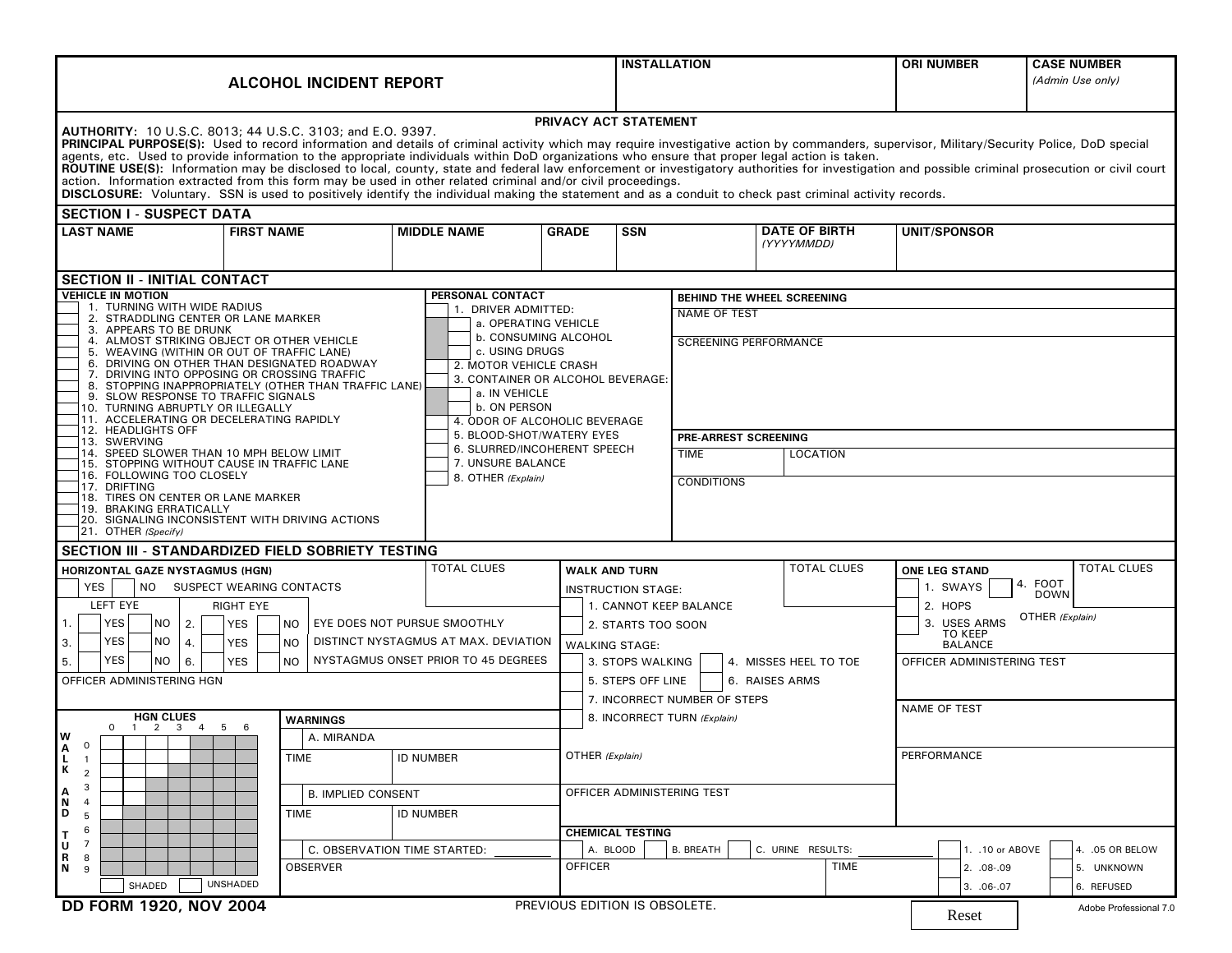| <b>ALCOHOL INCIDENT REPORT</b>                                                                                                                                                                                                                                                                                                                                                                                                                                                                                                                                                                                                                                                                                                                                                                                                                                                                                          |                                                                                                                                                      |                                                                                                                                                                                | <b>INSTALLATION</b>                       |                                     | <b>ORI NUMBER</b>                     | <b>CASE NUMBER</b><br>(Admin Use only) |                                              |                               |  |  |  |  |
|-------------------------------------------------------------------------------------------------------------------------------------------------------------------------------------------------------------------------------------------------------------------------------------------------------------------------------------------------------------------------------------------------------------------------------------------------------------------------------------------------------------------------------------------------------------------------------------------------------------------------------------------------------------------------------------------------------------------------------------------------------------------------------------------------------------------------------------------------------------------------------------------------------------------------|------------------------------------------------------------------------------------------------------------------------------------------------------|--------------------------------------------------------------------------------------------------------------------------------------------------------------------------------|-------------------------------------------|-------------------------------------|---------------------------------------|----------------------------------------|----------------------------------------------|-------------------------------|--|--|--|--|
| PRIVACY ACT STATEMENT<br><b>AUTHORITY: 10 U.S.C. 8013; 44 U.S.C. 3103; and E.O. 9397.</b><br>PRINCIPAL PURPOSE(S): Used to record information and details of criminal activity which may require investigative action by commanders, supervisor, Military/Security Police, DoD special<br>agents, etc. Used to provide information to the appropriate individuals within DoD organizations who ensure that proper legal action is taken.<br>ROUTINE USE(S): Information may be disclosed to local, county, state and federal law enforcement or investigatory authorities for investigation and possible criminal prosecution or civil court<br>action. Information extracted from this form may be used in other related criminal and/or civil proceedings.<br>DISCLOSURE: Voluntary. SSN is used to positively identify the individual making the statement and as a conduit to check past criminal activity records. |                                                                                                                                                      |                                                                                                                                                                                |                                           |                                     |                                       |                                        |                                              |                               |  |  |  |  |
| <b>SECTION I - SUSPECT DATA</b>                                                                                                                                                                                                                                                                                                                                                                                                                                                                                                                                                                                                                                                                                                                                                                                                                                                                                         |                                                                                                                                                      |                                                                                                                                                                                |                                           |                                     |                                       |                                        |                                              |                               |  |  |  |  |
| <b>LAST NAME</b>                                                                                                                                                                                                                                                                                                                                                                                                                                                                                                                                                                                                                                                                                                                                                                                                                                                                                                        | <b>FIRST NAME</b>                                                                                                                                    | <b>MIDDLE NAME</b>                                                                                                                                                             | <b>GRADE</b>                              | <b>SSN</b>                          |                                       | <b>DATE OF BIRTH</b><br>(YYYYMMDD)     | <b>UNIT/SPONSOR</b>                          |                               |  |  |  |  |
| <b>SECTION II - INITIAL CONTACT</b>                                                                                                                                                                                                                                                                                                                                                                                                                                                                                                                                                                                                                                                                                                                                                                                                                                                                                     |                                                                                                                                                      |                                                                                                                                                                                |                                           |                                     |                                       |                                        |                                              |                               |  |  |  |  |
| <b>VEHICLE IN MOTION</b><br>1. TURNING WITH WIDE RADIUS                                                                                                                                                                                                                                                                                                                                                                                                                                                                                                                                                                                                                                                                                                                                                                                                                                                                 | <b>PERSONAL CONTACT</b>                                                                                                                              |                                                                                                                                                                                |                                           |                                     | BEHIND THE WHEEL SCREENING            |                                        |                                              |                               |  |  |  |  |
| 2. STRADDLING CENTER OR LANE MARKER                                                                                                                                                                                                                                                                                                                                                                                                                                                                                                                                                                                                                                                                                                                                                                                                                                                                                     |                                                                                                                                                      | 1. DRIVER ADMITTED:<br>a. OPERATING VEHICLE                                                                                                                                    |                                           | <b>NAME OF TEST</b>                 |                                       |                                        |                                              |                               |  |  |  |  |
| 3. APPEARS TO BE DRUNK<br>4. ALMOST STRIKING OBJECT OR OTHER VEHICLE<br>5. WEAVING (WITHIN OR OUT OF TRAFFIC LANE)<br>9. SLOW RESPONSE TO TRAFFIC SIGNALS<br>10. TURNING ABRUPTLY OR ILLEGALLY<br>11. ACCELERATING OR DECELERATING RAPIDLY                                                                                                                                                                                                                                                                                                                                                                                                                                                                                                                                                                                                                                                                              | 6. DRIVING ON OTHER THAN DESIGNATED ROADWAY<br>7. DRIVING INTO OPPOSING OR CROSSING TRAFFIC<br>8. STOPPING INAPPROPRIATELY (OTHER THAN TRAFFIC LANE) | <b>b. CONSUMING ALCOHOL</b><br>c. USING DRUGS<br>2. MOTOR VEHICLE CRASH<br>3. CONTAINER OR ALCOHOL BEVERAGE:<br>a. IN VEHICLE<br>b. ON PERSON<br>4. ODOR OF ALCOHOLIC BEVERAGE |                                           |                                     | <b>SCREENING PERFORMANCE</b>          |                                        |                                              |                               |  |  |  |  |
| 12. HEADLIGHTS OFF<br>13. SWERVING                                                                                                                                                                                                                                                                                                                                                                                                                                                                                                                                                                                                                                                                                                                                                                                                                                                                                      |                                                                                                                                                      | 5. BLOOD-SHOT/WATERY EYES                                                                                                                                                      |                                           |                                     | PRE-ARREST SCREENING                  |                                        |                                              |                               |  |  |  |  |
| 14. SPEED SLOWER THAN 10 MPH BELOW LIMIT<br>15. STOPPING WITHOUT CAUSE IN TRAFFIC LANE                                                                                                                                                                                                                                                                                                                                                                                                                                                                                                                                                                                                                                                                                                                                                                                                                                  |                                                                                                                                                      | 6. SLURRED/INCOHERENT SPEECH<br>7. UNSURE BALANCE                                                                                                                              |                                           | <b>TIME</b>                         | LOCATION                              |                                        |                                              |                               |  |  |  |  |
| 16. FOLLOWING TOO CLOSELY<br>17. DRIFTING                                                                                                                                                                                                                                                                                                                                                                                                                                                                                                                                                                                                                                                                                                                                                                                                                                                                               | 8. OTHER (Explain)                                                                                                                                   |                                                                                                                                                                                |                                           | <b>CONDITIONS</b>                   |                                       |                                        |                                              |                               |  |  |  |  |
| 18. TIRES ON CENTER OR LANE MARKER<br>19. BRAKING ERRATICALLY<br>21. OTHER (Specify)                                                                                                                                                                                                                                                                                                                                                                                                                                                                                                                                                                                                                                                                                                                                                                                                                                    | 20. SIGNALING INCONSISTENT WITH DRIVING ACTIONS                                                                                                      |                                                                                                                                                                                |                                           |                                     |                                       |                                        |                                              |                               |  |  |  |  |
| SECTION III - STANDARDIZED FIELD SOBRIETY TESTING                                                                                                                                                                                                                                                                                                                                                                                                                                                                                                                                                                                                                                                                                                                                                                                                                                                                       |                                                                                                                                                      |                                                                                                                                                                                |                                           |                                     |                                       |                                        |                                              |                               |  |  |  |  |
| <b>HORIZONTAL GAZE NYSTAGMUS (HGN)</b>                                                                                                                                                                                                                                                                                                                                                                                                                                                                                                                                                                                                                                                                                                                                                                                                                                                                                  |                                                                                                                                                      | <b>TOTAL CLUES</b>                                                                                                                                                             | <b>WALK AND TURN</b>                      |                                     |                                       | <b>TOTAL CLUES</b>                     | <b>ONE LEG STAND</b>                         | <b>TOTAL CLUES</b><br>4. FOOT |  |  |  |  |
| <b>YES</b><br><b>NO</b><br>SUSPECT WEARING CONTACTS                                                                                                                                                                                                                                                                                                                                                                                                                                                                                                                                                                                                                                                                                                                                                                                                                                                                     |                                                                                                                                                      |                                                                                                                                                                                | <b>INSTRUCTION STAGE:</b>                 |                                     |                                       |                                        | 1. SWAYS                                     | <b>DOWN</b>                   |  |  |  |  |
| LEFT EYE<br>RIGHT EYE                                                                                                                                                                                                                                                                                                                                                                                                                                                                                                                                                                                                                                                                                                                                                                                                                                                                                                   |                                                                                                                                                      | 1. CANNOT KEEP BALANCE                                                                                                                                                         |                                           |                                     |                                       | 2. HOPS<br>3. USES ARMS                | OTHER (Explain)                              |                               |  |  |  |  |
| YES<br>EYE DOES NOT PURSUE SMOOTHLY<br>NO<br>2.<br>1.<br><b>YES</b><br><b>NO</b><br>YES<br>NO<br>DISTINCT NYSTAGMUS AT MAX. DEVIATION<br><b>YES</b><br>3.<br><b>NO</b><br>4.                                                                                                                                                                                                                                                                                                                                                                                                                                                                                                                                                                                                                                                                                                                                            |                                                                                                                                                      |                                                                                                                                                                                | 2. STARTS TOO SOON                        |                                     |                                       |                                        | <b>TO KEEP</b>                               |                               |  |  |  |  |
| YES<br>5.<br>NO<br>6.                                                                                                                                                                                                                                                                                                                                                                                                                                                                                                                                                                                                                                                                                                                                                                                                                                                                                                   | <b>YES</b><br>NO.                                                                                                                                    | NYSTAGMUS ONSET PRIOR TO 45 DEGREES                                                                                                                                            | <b>WALKING STAGE:</b><br>3. STOPS WALKING |                                     |                                       | 4. MISSES HEEL TO TOE                  | <b>BALANCE</b><br>OFFICER ADMINISTERING TEST |                               |  |  |  |  |
| OFFICER ADMINISTERING HGN                                                                                                                                                                                                                                                                                                                                                                                                                                                                                                                                                                                                                                                                                                                                                                                                                                                                                               |                                                                                                                                                      |                                                                                                                                                                                |                                           | 5. STEPS OFF LINE<br>6. RAISES ARMS |                                       |                                        |                                              |                               |  |  |  |  |
|                                                                                                                                                                                                                                                                                                                                                                                                                                                                                                                                                                                                                                                                                                                                                                                                                                                                                                                         |                                                                                                                                                      |                                                                                                                                                                                |                                           | 7. INCORRECT NUMBER OF STEPS        |                                       |                                        |                                              |                               |  |  |  |  |
| <b>HGN CLUES</b><br><b>WARNINGS</b>                                                                                                                                                                                                                                                                                                                                                                                                                                                                                                                                                                                                                                                                                                                                                                                                                                                                                     |                                                                                                                                                      |                                                                                                                                                                                | 8. INCORRECT TURN (Explain)               |                                     |                                       |                                        | <b>NAME OF TEST</b>                          |                               |  |  |  |  |
| $0 \t1 \t2 \t3 \t4 \t5 \t6$<br>W                                                                                                                                                                                                                                                                                                                                                                                                                                                                                                                                                                                                                                                                                                                                                                                                                                                                                        |                                                                                                                                                      |                                                                                                                                                                                |                                           |                                     |                                       |                                        |                                              |                               |  |  |  |  |
| $\mathsf{O}$<br>ΙA<br>L<br>$\overline{1}$<br>К                                                                                                                                                                                                                                                                                                                                                                                                                                                                                                                                                                                                                                                                                                                                                                                                                                                                          | <b>TIME</b><br><b>ID NUMBER</b>                                                                                                                      |                                                                                                                                                                                |                                           | OTHER (Explain)                     |                                       |                                        | PERFORMANCE                                  |                               |  |  |  |  |
| $\overline{2}$<br>3<br>А<br><b>B. IMPLIED CONSENT</b>                                                                                                                                                                                                                                                                                                                                                                                                                                                                                                                                                                                                                                                                                                                                                                                                                                                                   |                                                                                                                                                      |                                                                                                                                                                                |                                           |                                     |                                       |                                        |                                              |                               |  |  |  |  |
| Ν<br>$\overline{4}$                                                                                                                                                                                                                                                                                                                                                                                                                                                                                                                                                                                                                                                                                                                                                                                                                                                                                                     |                                                                                                                                                      | OFFICER ADMINISTERING TEST                                                                                                                                                     |                                           |                                     |                                       |                                        |                                              |                               |  |  |  |  |
| D<br>TIME<br>5<br>6                                                                                                                                                                                                                                                                                                                                                                                                                                                                                                                                                                                                                                                                                                                                                                                                                                                                                                     |                                                                                                                                                      | <b>ID NUMBER</b>                                                                                                                                                               |                                           |                                     |                                       |                                        |                                              |                               |  |  |  |  |
| $\overline{7}$<br>U<br>C. OBSERVATION TIME STARTED:                                                                                                                                                                                                                                                                                                                                                                                                                                                                                                                                                                                                                                                                                                                                                                                                                                                                     |                                                                                                                                                      |                                                                                                                                                                                | <b>CHEMICAL TESTING</b><br>A. BLOOD       |                                     | <b>B. BREATH</b><br>C. URINE RESULTS: |                                        | 1. . 10 or ABOVE                             | 4. .05 OR BELOW               |  |  |  |  |
| R<br>8<br>N<br>9                                                                                                                                                                                                                                                                                                                                                                                                                                                                                                                                                                                                                                                                                                                                                                                                                                                                                                        | OBSERVER                                                                                                                                             |                                                                                                                                                                                | <b>OFFICER</b>                            |                                     |                                       | <b>TIME</b>                            | 2. .08-.09                                   | 5. UNKNOWN                    |  |  |  |  |
| SHADED                                                                                                                                                                                                                                                                                                                                                                                                                                                                                                                                                                                                                                                                                                                                                                                                                                                                                                                  | UNSHADED                                                                                                                                             |                                                                                                                                                                                |                                           |                                     |                                       |                                        | 3. .06-.07                                   | 6. REFUSED                    |  |  |  |  |
| DD FORM 1920, NOV 2004                                                                                                                                                                                                                                                                                                                                                                                                                                                                                                                                                                                                                                                                                                                                                                                                                                                                                                  |                                                                                                                                                      |                                                                                                                                                                                | PREVIOUS EDITION IS OBSOLETE.             |                                     |                                       |                                        | Reset                                        | Adobe Professional 7.0        |  |  |  |  |